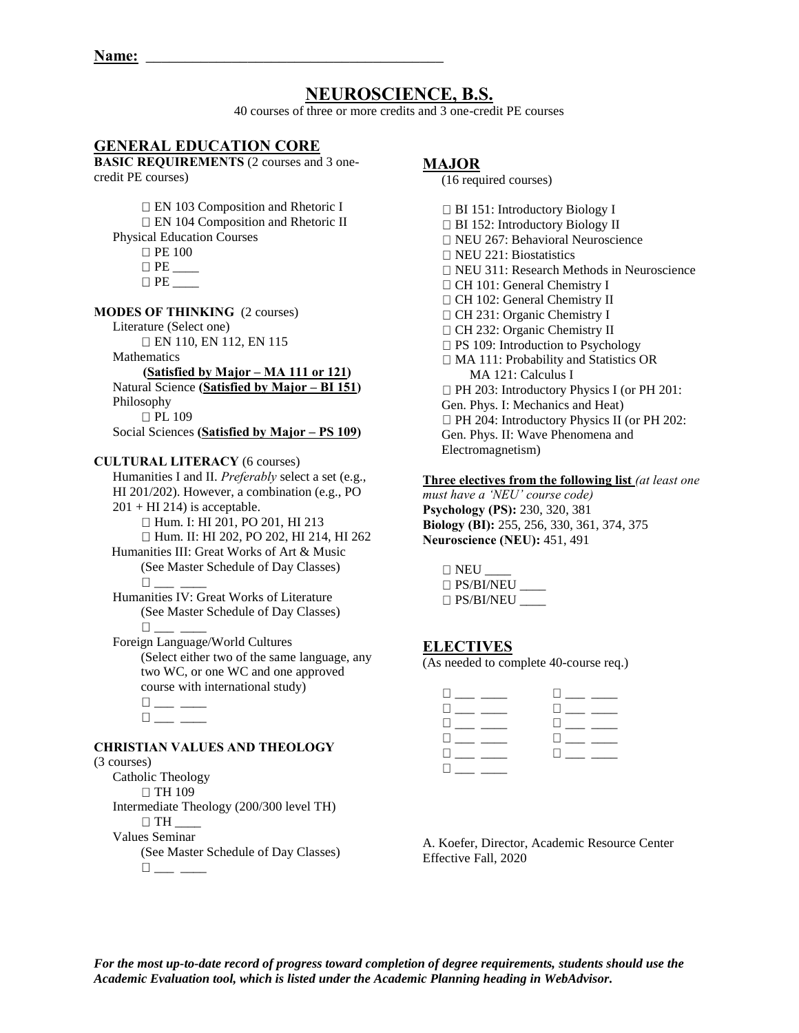# **NEUROSCIENCE, B.S.**

40 courses of three or more credits and 3 one-credit PE courses

# **GENERAL EDUCATION CORE**

**BASIC REQUIREMENTS** (2 courses and 3 onecredit PE courses)

EN 103 Composition and Rhetoric I

- EN 104 Composition and Rhetoric II
- Physical Education Courses
	- **PE 100** PE \_\_\_\_
	- $\Box$  PE

#### **MODES OF THINKING** (2 courses)

Literature (Select one)

EN 110, EN 112, EN 115

**Mathematics** 

 **(Satisfied by Major – MA 111 or 121)**  Natural Science **(Satisfied by Major – BI 151)**  Philosophy

□ PL 109 Social Sciences **(Satisfied by Major – PS 109)**

## **CULTURAL LITERACY** (6 courses)

Humanities I and II. *Preferably* select a set (e.g., HI 201/202). However, a combination (e.g., PO  $201 + HI 214$ ) is acceptable. Hum. I: HI 201, PO 201, HI 213

Hum. II: HI 202, PO 202, HI 214, HI 262

Humanities III: Great Works of Art & Music (See Master Schedule of Day Classes)  $\Box$ 

 Humanities IV: Great Works of Literature (See Master Schedule of Day Classes)  $\Box$ 

 Foreign Language/World Cultures (Select either two of the same language, any two WC, or one WC and one approved course with international study)

## **CHRISTIAN VALUES AND THEOLOGY**

(3 courses)

- Catholic Theology
- $\Box$  TH 109

Intermediate Theology (200/300 level TH)

 $\Box$  TH

Values Seminar

 (See Master Schedule of Day Classes)  $\square_{\textit{max}} \text{ _{i}}$ 

## **MAJOR**

(16 required courses)

□ BI 151: Introductory Biology I □ BI 152: Introductory Biology II □ NEU 267: Behavioral Neuroscience  $\Box$  NEU 221: Biostatistics NEU 311: Research Methods in Neuroscience □ CH 101: General Chemistry I CH 102: General Chemistry II CH 231: Organic Chemistry I CH 232: Organic Chemistry II □ PS 109: Introduction to Psychology □ MA 111: Probability and Statistics OR MA 121: Calculus I □ PH 203: Introductory Physics I (or PH 201: Gen. Phys. I: Mechanics and Heat) □ PH 204: Introductory Physics II (or PH 202: Gen. Phys. II: Wave Phenomena and Electromagnetism)

## **Three electives from the following list** *(at least one*

*must have a 'NEU' course code)* **Psychology (PS):** 230, 320, 381 **Biology (BI):** 255, 256, 330, 361, 374, 375 **Neuroscience (NEU):** 451, 491

| $\Box$ NEU       |  |
|------------------|--|
| $\Box$ PS/BI/NEU |  |
| $\Box$ PS/BI/NEU |  |

# **ELECTIVES**

(As needed to complete 40-course req.)

| $\Box$ and the state of the state $\Box$ | <b>Experience</b>                           |
|------------------------------------------|---------------------------------------------|
| U _ _ _ _ _ _                            | <b>Little Communist Communist Communist</b> |
| the contract of the contract of          | $\Box$ and $\Box$ and $\Box$                |
| $\Box$ and $\Box$ and $\Box$             | <b>District Control</b>                     |
| <b>Experience</b>                        |                                             |
| $\square_{\text{max}}$ and $\square$     |                                             |

A. Koefer, Director, Academic Resource Center Effective Fall, 2020

*For the most up-to-date record of progress toward completion of degree requirements, students should use the Academic Evaluation tool, which is listed under the Academic Planning heading in WebAdvisor.*